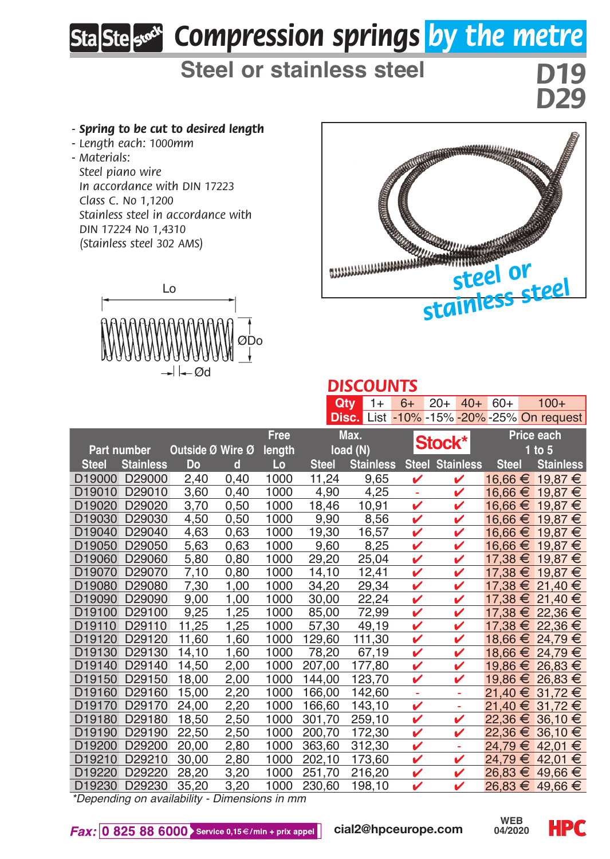# *Compression springs by the metre*

## **Steel or stainless steel**

*D29*

#### *- Spring to be cut to desired length*

- *Length each: 1000mm*
- *Materials:*

*Steel piano wire In accordance with DIN 17223 Class C. No 1,1200 Stainless steel in accordance with DIN 17224 No 1,4310 (Stainless steel 302 AMS)*





### *DISCOUNTS*

|              |                                               |                  |      |        | Qtv          | $1+$             | $6+$   | $20+$                  | $40+$             | $60+$        | $100+$                                    |
|--------------|-----------------------------------------------|------------------|------|--------|--------------|------------------|--------|------------------------|-------------------|--------------|-------------------------------------------|
|              |                                               |                  |      |        |              |                  |        |                        |                   |              | Disc. List -10% -15% -20% -25% On request |
|              |                                               |                  | Free | Max.   |              |                  |        |                        | <b>Price each</b> |              |                                           |
| Part number  |                                               | Outside Ø Wire Ø |      | length | load (N)     |                  | Stock* |                        |                   | $1$ to $5$   |                                           |
| <b>Steel</b> | <b>Stainless</b>                              | Do               | d    | Lo     | <b>Steel</b> | <b>Stainless</b> |        | <b>Steel Stainless</b> |                   | <b>Steel</b> | <b>Stainless</b>                          |
| D19000       | D29000                                        | 2,40             | 0,40 | 1000   | 11,24        | 9,65             | v      | v                      |                   |              | 16,66 € 19,87 €                           |
| D19010       | D29010                                        | 3,60             | 0.40 | 1000   | 4.90         | 4.25             | ٠      | ✓                      |                   |              | $16,66 \in 19,87 \in$                     |
|              | D19020 D29020                                 | 3,70             | 0,50 | 1000   | 18,46        | 10,91            | v      | v                      |                   |              | $16,66 \in 19,87 \in$                     |
|              | D19030 D29030                                 | 4,50             | 0,50 | 1000   | 9,90         | 8,56             | v      | v                      |                   |              | 16,66 € 19,87 €                           |
|              | D19040 D29040                                 | 4,63             | 0,63 | 1000   | 19,30        | 16,57            | v      | ✓                      |                   |              | 16,66 € 19,87 €                           |
|              | D19050 D29050                                 | 5,63             | 0,63 | 1000   | 9,60         | 8,25             | v      | v                      |                   |              | 16,66 € 19,87 €                           |
| D19060       | D29060                                        | 5,80             | 0,80 | 1000   | 29,20        | 25.04            | v      | ✓                      |                   |              | 17,38 € 19,87 €                           |
|              | D19070 D29070                                 | 7,10             | 0,80 | 1000   | 14,10        | 12,41            | v      |                        |                   |              | 17,38 € 19,87 €                           |
| D19080       | D29080                                        | 7,30             | 1,00 | 1000   | 34,20        | 29,34            | v      | v                      |                   |              | 17,38 € 21,40 €                           |
| D19090       | D29090                                        | 9,00             | 1,00 | 1000   | 30,00        | 22,24            | ✓      |                        |                   |              | 17,38 € 21,40 €                           |
| D19100       | D29100                                        | 9,25             | 1,25 | 1000   | 85,00        | 72,99            | v      | ✓                      |                   |              | 17,38 € 22,36 €                           |
| D19110       | D29110                                        | 11,25            | 1,25 | 1000   | 57,30        | 49,19            | v      | ✓                      |                   |              | 17,38 € 22,36 €                           |
| D19120       | D29120                                        | 11,60            | 1,60 | 1000   | 129,60       | 111,30           | v      | v                      |                   |              | 18,66 € 24,79 €                           |
| D19130       | D29130                                        | 14,10            | 1,60 | 1000   | 78,20        | 67,19            | v      | v                      |                   |              | 18,66 € 24,79 €                           |
| D19140       | D29140                                        | 14.50            | 2.00 | 1000   | 207,00       | 177,80           | v      | ✓                      |                   |              | 19,86 € 26,83 €                           |
|              | D19150 D29150                                 | 18,00            | 2,00 | 1000   | 144,00       | 123,70           | v      | v                      |                   |              | 19,86 € 26,83 €                           |
|              | D19160 D29160                                 | 15,00            | 2,20 | 1000   | 166,00       | 142,60           | ä,     | ÷                      |                   |              | 21,40 € 31,72 €                           |
| D19170       | D29170                                        | 24,00            | 2,20 | 1000   | 166.60       | 143.10           | v      | ÷                      |                   |              | 21,40 € 31,72 €                           |
| D19180       | D29180                                        | 18,50            | 2,50 | 1000   | 301,70       | 259,10           | v      | ✓                      |                   |              | 22.36 € 36.10 €                           |
| D19190       | D29190                                        | 22,50            | 2,50 | 1000   | 200.70       | 172,30           | v      | v                      |                   |              | 22,36 € 36,10 €                           |
|              | D19200 D29200                                 | 20,00            | 2,80 | 1000   | 363,60       | 312,30           | v      | ÷                      |                   |              | 24,79 € 42,01 €                           |
| D19210       | D29210                                        | 30,00            | 2,80 | 1000   | 202,10       | 173,60           | v      | v                      |                   |              | 24,79 € 42,01 €                           |
| D19220       | D29220                                        | 28,20            | 3,20 | 1000   | 251.70       | 216,20           | v      | ✓                      |                   |              | $26,83 \in 49,66 \in$                     |
|              | D19230 D29230                                 | 35,20            | 3,20 | 1000   | 230.60       | 198.10           | v      | ✓                      |                   |              | 26,83 € 49,66 €                           |
|              | *Denending on availability - Dimensions in mm |                  |      |        |              |                  |        |                        |                   |              |                                           |

*\*Depending on availability - Dimensions in mm*

Fax: 0 825 88 6000 Service 0,15 €/min + prix appel